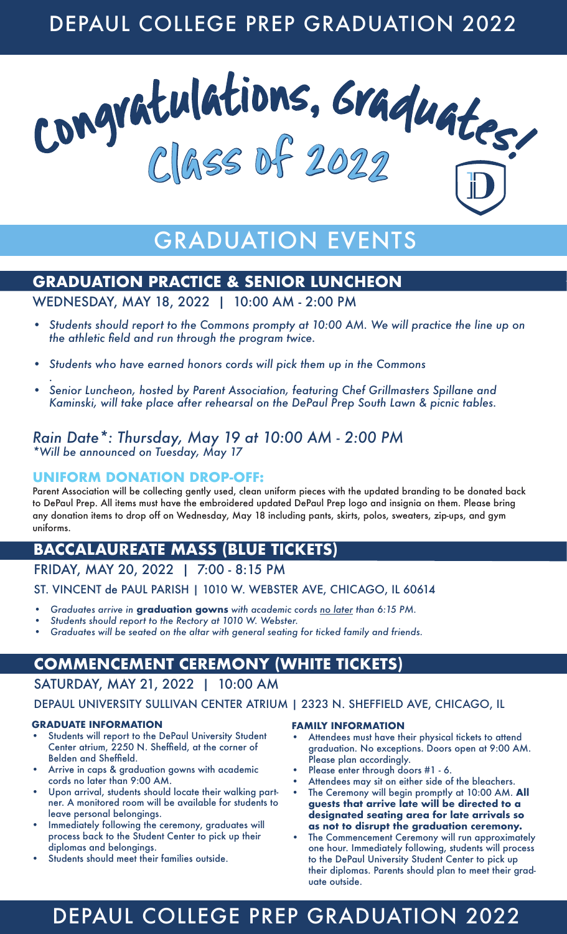# DEPAUL COLLEGE PREP GRADUATION 2022



# GRADUATION EVENTS

## **GRADUATION PRACTICE & SENIOR LUNCHEON**

WEDNESDAY, MAY 18, 2022 | 10:00 AM - 2:00 PM

- *• Students should report to the Commons prompty at 10:00 AM. We will practice the line up on the athletic field and run through the program twice.*
- *• Students who have earned honors cords will pick them up in the Commons*
- *. • Senior Luncheon, hosted by Parent Association, featuring Chef Grillmasters Spillane and Kaminski, will take place after rehearsal on the DePaul Prep South Lawn & picnic tables.*

### *Rain Date\*: Thursday, May 19 at 10:00 AM - 2:00 PM \*Will be announced on Tuesday, May 17*

### **UNIFORM DONATION DROP-OFF:**

Parent Association will be collecting gently used, clean uniform pieces with the updated branding to be donated back to DePaul Prep. All items must have the embroidered updated DePaul Prep logo and insignia on them. Please bring any donation items to drop off on Wednesday, May 18 including pants, skirts, polos, sweaters, zip-ups, and gym uniforms.

## **BACCALAUREATE MASS (BLUE TICKETS)**

### FRIDAY, MAY 20, 2022 | 7:00 - 8:15 PM

ST. VINCENT de PAUL PARISH | 1010 W. WEBSTER AVE, CHICAGO, IL 60614

- *• Graduates arrive in* **graduation gowns** *with academic cords no later than 6:15 PM.*
- *• Students should report to the Rectory at 1010 W. Webster.*
- *• Graduates will be seated on the altar with general seating for ticked family and friends.*

# **COMMENCEMENT CEREMONY (WHITE TICKETS)**

## SATURDAY, MAY 21, 2022 | 10:00 AM

### DEPAUL UNIVERSITY SULLIVAN CENTER ATRIUM | 2323 N. SHEFFIELD AVE, CHICAGO, IL

### **GRADUATE INFORMATION**

- Students will report to the DePaul University Student Center atrium, 2250 N. Sheffield, at the corner of Belden and Sheffield.
- Arrive in caps & graduation gowns with academic cords no later than 9:00 AM.
- Upon arrival, students should locate their walking partner. A monitored room will be available for students to leave personal belongings.
- Immediately following the ceremony, graduates will process back to the Student Center to pick up their diplomas and belongings.
- Students should meet their families outside.

### **FAMILY INFORMATION**

- Attendees must have their physical tickets to attend graduation. No exceptions. Doors open at 9:00 AM. Please plan accordingly.
- Please enter through doors #1 6.
- Attendees may sit on either side of the bleachers.
- The Ceremony will begin promptly at 10:00 AM. **All guests that arrive late will be directed to a designated seating area for late arrivals so as not to disrupt the graduation ceremony.**
- The Commencement Ceremony will run approximately one hour. Immediately following, students will process to the DePaul University Student Center to pick up their diplomas. Parents should plan to meet their graduate outside.

# DEPAUL COLLEGE PREP GRADUATION 2022